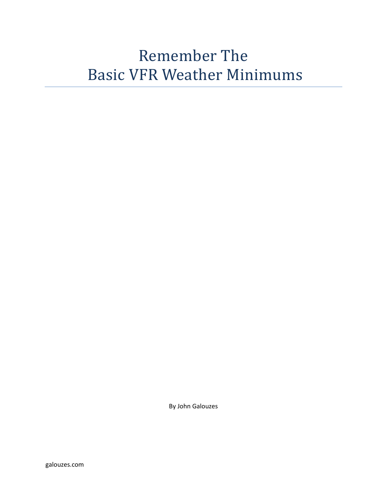# Remember The Basic VFR Weather Minimums

By John Galouzes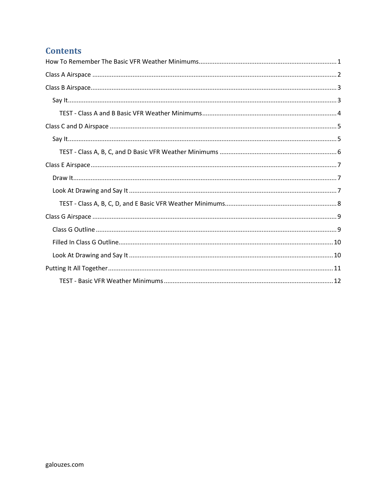# **Contents**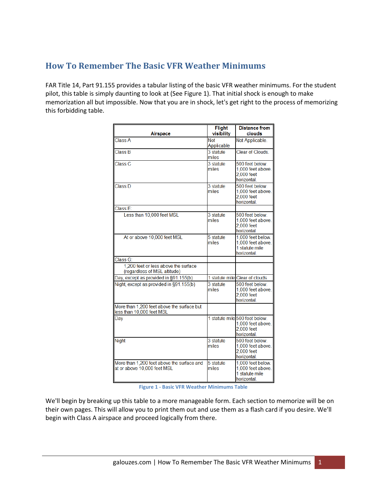## <span id="page-2-0"></span>**How To Remember The Basic VFR Weather Minimums**

FAR Title 14, Part 91.155 provides a tabular listing of the basic VFR weather minimums. For the student pilot, this table is simply daunting to look at (See Figure 1). That initial shock is enough to make memorization all but impossible. Now that you are in shock, let's get right to the process of memorizing this forbidding table.

| Airspace                                                                  | <b>Flight</b><br>visibility | <b>Distance from</b><br>clouds                                                     |
|---------------------------------------------------------------------------|-----------------------------|------------------------------------------------------------------------------------|
| Class A                                                                   | <b>Not</b><br>Applicable    | Not Applicable.                                                                    |
| <b>Class B</b>                                                            | 3 statute<br>miles          | Clear of Clouds.                                                                   |
| Class <sub>C</sub>                                                        | 3 statute<br>miles          | 500 feet below.<br>1,000 feet above.<br>2,000 feet<br>horizontal.                  |
| <b>Class D</b>                                                            | 3 statute<br>miles          | 500 feet below.<br>1,000 feet above.<br>2,000 feet<br>horizontal.                  |
| Class E:                                                                  |                             |                                                                                    |
| Less than 10,000 feet MSL                                                 | 3 statute<br>miles          | 500 feet below.<br>1,000 feet above.<br>2,000 feet<br>horizontal                   |
| At or above 10,000 feet MSL                                               | 5 statute<br>miles          | 1,000 feet below.<br>1,000 feet above.<br>1 statute mile<br>horizontal.            |
| Class G:                                                                  |                             |                                                                                    |
| 1,200 feet or less above the surface<br>(regardless of MSL altitude)      |                             |                                                                                    |
| Day, except as provided in §91.155(b)                                     |                             | 1 statute mile Clear of clouds.                                                    |
| Night, except as provided in §91.155(b)                                   | 3 statute<br>miles          | 500 feet below.<br>1,000 feet above.<br>2,000 feet<br>horizontal.                  |
| More than 1,200 feet above the surface but<br>less than 10,000 feet MSL   |                             |                                                                                    |
| Dav                                                                       |                             | 1 statute mile 500 feet below.<br>1,000 feet above.<br>$2,000$ feet<br>horizontal. |
| <b>Night</b>                                                              | 3 statute<br>miles          | 500 feet below.<br>1,000 feet above.<br>2,000 feet<br>horizontal.                  |
| More than 1,200 feet above the surface and<br>at or above 10,000 feet MSL | 5 statute<br>miles          | 1,000 feet below.<br>1,000 feet above.<br>1 statute mile<br>horizontal.            |

**Figure 1 - Basic VFR Weather Minimums Table**

We'll begin by breaking up this table to a more manageable form. Each section to memorize will be on their own pages. This will allow you to print them out and use them as a flash card if you desire. We'll begin with Class A airspace and proceed logically from there.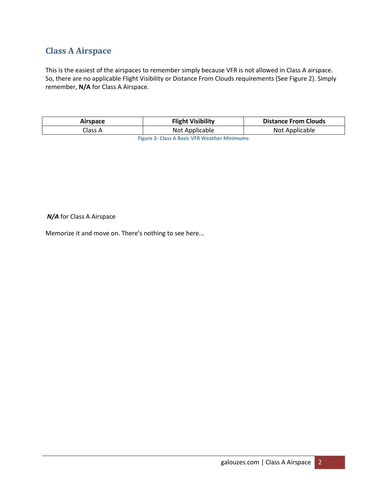# <span id="page-3-0"></span>**Class A Airspace**

This is the easiest of the airspaces to remember simply because VFR is not allowed in Class A airspace. So, there are no applicable Flight Visibility or Distance From Clouds requirements (See Figure 2). Simply remember, **N/A** for Class A Airspace.

| <b>Airspace</b>                                      | <b>Flight Visibility</b> | <b>Distance From Clouds</b> |
|------------------------------------------------------|--------------------------|-----------------------------|
| Class A                                              | Not Applicable           | Not Applicable              |
| <b>Eigene 2. Class A Rasis VED Weather Minimums.</b> |                          |                             |

**Figure 2- Class A Basic VFR Weather Minimums**

#### *N/A* for Class A Airspace

Memorize it and move on. There's nothing to see here...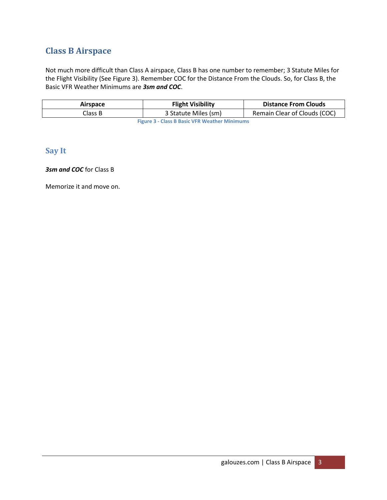# <span id="page-4-0"></span>**Class B Airspace**

Not much more difficult than Class A airspace, Class B has one number to remember; 3 Statute Miles for the Flight Visibility (See Figure 3). Remember COC for the Distance From the Clouds. So, for Class B, the Basic VFR Weather Minimums are *3sm and COC*.

| <b>Airspace</b>                                      | <b>Flight Visibility</b> | <b>Distance From Clouds</b>  |
|------------------------------------------------------|--------------------------|------------------------------|
| Class B                                              | 3 Statute Miles (sm)     | Remain Clear of Clouds (COC) |
| <b>Figure 3 - Class B Basic VFR Weather Minimums</b> |                          |                              |

## <span id="page-4-1"></span>**Say It**

#### *3sm and COC* for Class B

Memorize it and move on.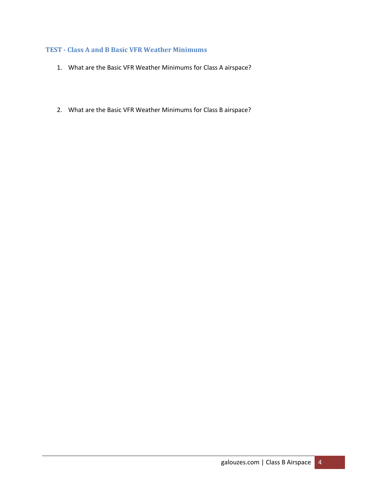#### <span id="page-5-0"></span>**TEST - Class A and B Basic VFR Weather Minimums**

- 1. What are the Basic VFR Weather Minimums for Class A airspace?
- 2. What are the Basic VFR Weather Minimums for Class B airspace?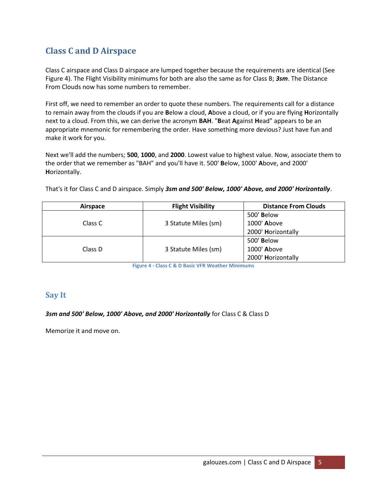# <span id="page-6-0"></span>**Class C and D Airspace**

Class C airspace and Class D airspace are lumped together because the requirements are identical (See Figure 4). The Flight Visibility minimums for both are also the same as for Class B; *3sm*. The Distance From Clouds now has some numbers to remember.

First off, we need to remember an order to quote these numbers. The requirements call for a distance to remain away from the clouds if you are **B**elow a cloud, **A**bove a cloud, or if you are flying **H**orizontally next to a cloud. From this, we can derive the acronym **BAH**. "**B**eat **A**gainst **H**ead" appears to be an appropriate mnemonic for remembering the order. Have something more devious? Just have fun and make it work for you.

Next we'll add the numbers; **500**, **1000**, and **2000**. Lowest value to highest value. Now, associate them to the order that we remember as "BAH" and you'll have it. 500' **B**elow, 1000' **A**bove, and 2000' **H**orizontally.

That's it for Class C and D airspace. Simply *3sm and 500' Below, 1000' Above, and 2000' Horizontally*.

| Airspace | <b>Flight Visibility</b> | <b>Distance From Clouds</b> |
|----------|--------------------------|-----------------------------|
| Class C  |                          | 500' Below                  |
|          | 3 Statute Miles (sm)     | 1000' Above                 |
|          |                          | 2000' Horizontally          |
| Class D  | 3 Statute Miles (sm)     | 500' Below                  |
|          |                          | 1000' Above                 |
|          |                          | 2000' Horizontally          |

**Figure 4 - Class C & D Basic VFR Weather Minimums**

#### <span id="page-6-1"></span>**Say It**

*3sm and 500' Below, 1000' Above, and 2000' Horizontally* for Class C & Class D

Memorize it and move on.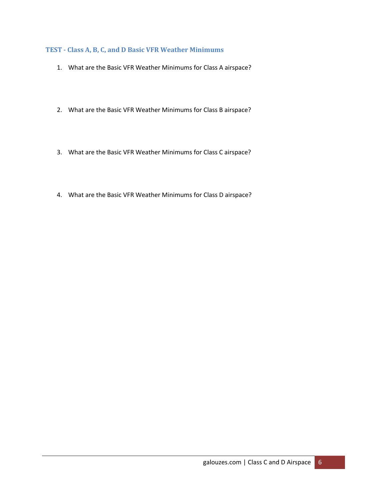### <span id="page-7-0"></span>**TEST - Class A, B, C, and D Basic VFR Weather Minimums**

- 1. What are the Basic VFR Weather Minimums for Class A airspace?
- 2. What are the Basic VFR Weather Minimums for Class B airspace?
- 3. What are the Basic VFR Weather Minimums for Class C airspace?
- 4. What are the Basic VFR Weather Minimums for Class D airspace?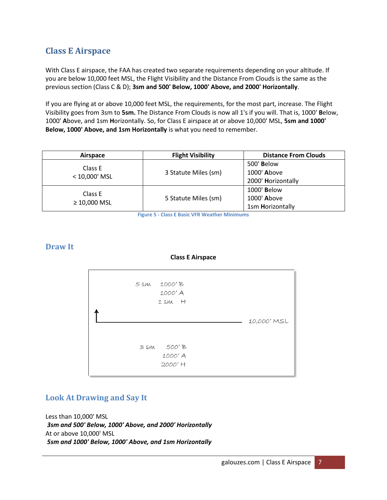## <span id="page-8-0"></span>**Class E Airspace**

With Class E airspace, the FAA has created two separate requirements depending on your altitude. If you are below 10,000 feet MSL, the Flight Visibility and the Distance From Clouds is the same as the previous section (Class C & D); **3sm and 500' Below, 1000' Above, and 2000' Horizontally**.

If you are flying at or above 10,000 feet MSL, the requirements, for the most part, increase. The Flight Visibility goes from 3sm to **5sm.** The Distance From Clouds is now all 1's if you will. That is, 1000' **B**elow, 1000' **A**bove, and 1sm **H**orizontally. So, for Class E airspace at or above 10,000' MSL, **5sm and 1000' Below, 1000' Above, and 1sm Horizontally** is what you need to remember.

| Airspace                     | <b>Flight Visibility</b>                            | <b>Distance From Clouds</b> |
|------------------------------|-----------------------------------------------------|-----------------------------|
|                              |                                                     | 500' Below                  |
|                              | Class E<br>3 Statute Miles (sm)<br>$< 10,000$ ' MSL | 1000' Above                 |
|                              |                                                     | 2000' Horizontally          |
| Class E<br>$\geq 10,000$ MSL | 5 Statute Miles (sm)                                | 1000' Below                 |
|                              |                                                     | 1000' Above                 |
|                              |                                                     | 1sm Horizontally            |

**Figure 5 - Class E Basic VFR Weather Minimums**

#### <span id="page-8-1"></span>**Draw It**

#### **Class E Airspace**



## <span id="page-8-2"></span>**Look At Drawing and Say It**

Less than 10,000' MSL *3sm and 500' Below, 1000' Above, and 2000' Horizontally* At or above 10,000' MSL *5sm and 1000' Below, 1000' Above, and 1sm Horizontally*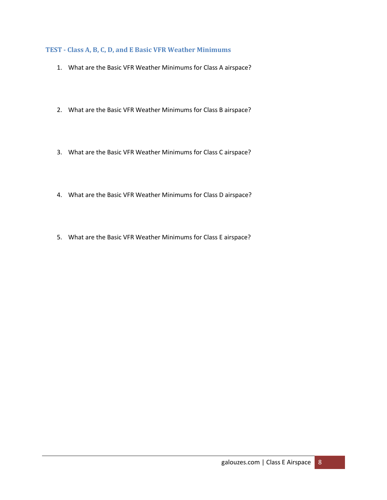#### <span id="page-9-0"></span>**TEST - Class A, B, C, D, and E Basic VFR Weather Minimums**

- 1. What are the Basic VFR Weather Minimums for Class A airspace?
- 2. What are the Basic VFR Weather Minimums for Class B airspace?
- 3. What are the Basic VFR Weather Minimums for Class C airspace?
- 4. What are the Basic VFR Weather Minimums for Class D airspace?
- 5. What are the Basic VFR Weather Minimums for Class E airspace?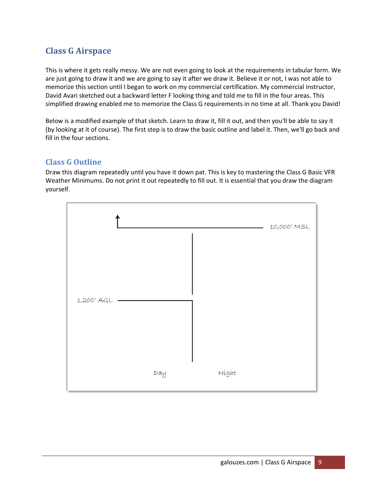# <span id="page-10-0"></span>**Class G Airspace**

This is where it gets really messy. We are not even going to look at the requirements in tabular form. We are just going to draw it and we are going to say it after we draw it. Believe it or not, I was not able to memorize this section until I began to work on my commercial certification. My commercial instructor, David Avari sketched out a backward letter F looking thing and told me to fill in the four areas. This simplified drawing enabled me to memorize the Class G requirements in no time at all. Thank you David!

Below is a modified example of that sketch. Learn to draw it, fill it out, and then you'll be able to say it (by looking at it of course). The first step is to draw the basic outline and label it. Then, we'll go back and fill in the four sections.

## <span id="page-10-1"></span>**Class G Outline**

Draw this diagram repeatedly until you have it down pat. This is key to mastering the Class G Basic VFR Weather Minimums. Do not print it out repeatedly to fill out. It is essential that you draw the diagram yourself.

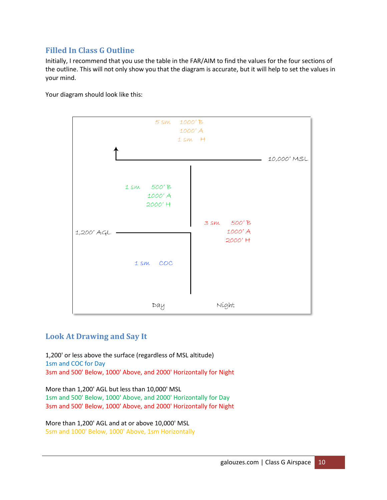## <span id="page-11-0"></span>**Filled In Class G Outline**

Initially, I recommend that you use the table in the FAR/AIM to find the values for the four sections of the outline. This will not only show you that the diagram is accurate, but it will help to set the values in your mind.

Your diagram should look like this:



## <span id="page-11-1"></span>**Look At Drawing and Say It**

1,200' or less above the surface (regardless of MSL altitude) 1sm and COC for Day 3sm and 500' Below, 1000' Above, and 2000' Horizontally for Night

More than 1,200' AGL but less than 10,000' MSL 1sm and 500' Below, 1000' Above, and 2000' Horizontally for Day 3sm and 500' Below, 1000' Above, and 2000' Horizontally for Night

More than 1,200' AGL and at or above 10,000' MSL 5sm and 1000' Below, 1000' Above, 1sm Horizontally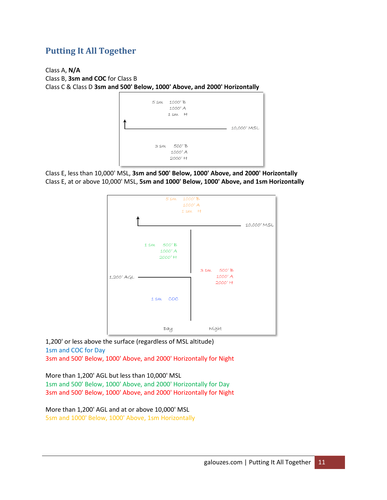# <span id="page-12-0"></span>**Putting It All Together**

Class A, **N/A** Class B, **3sm and COC** for Class B Class C & Class D **3sm and 500' Below, 1000' Above, and 2000' Horizontally**



Class E, less than 10,000' MSL, **3sm and 500' Below, 1000' Above, and 2000' Horizontally** Class E, at or above 10,000' MSL, **5sm and 1000' Below, 1000' Above, and 1sm Horizontally**



1,200' or less above the surface (regardless of MSL altitude) 1sm and COC for Day 3sm and 500' Below, 1000' Above, and 2000' Horizontally for Night

More than 1,200' AGL but less than 10,000' MSL 1sm and 500' Below, 1000' Above, and 2000' Horizontally for Day 3sm and 500' Below, 1000' Above, and 2000' Horizontally for Night

More than 1,200' AGL and at or above 10,000' MSL 5sm and 1000' Below, 1000' Above, 1sm Horizontally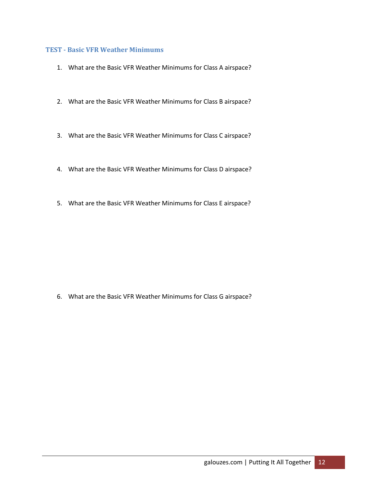#### <span id="page-13-0"></span>**TEST - Basic VFR Weather Minimums**

- 1. What are the Basic VFR Weather Minimums for Class A airspace?
- 2. What are the Basic VFR Weather Minimums for Class B airspace?
- 3. What are the Basic VFR Weather Minimums for Class C airspace?
- 4. What are the Basic VFR Weather Minimums for Class D airspace?
- 5. What are the Basic VFR Weather Minimums for Class E airspace?

6. What are the Basic VFR Weather Minimums for Class G airspace?